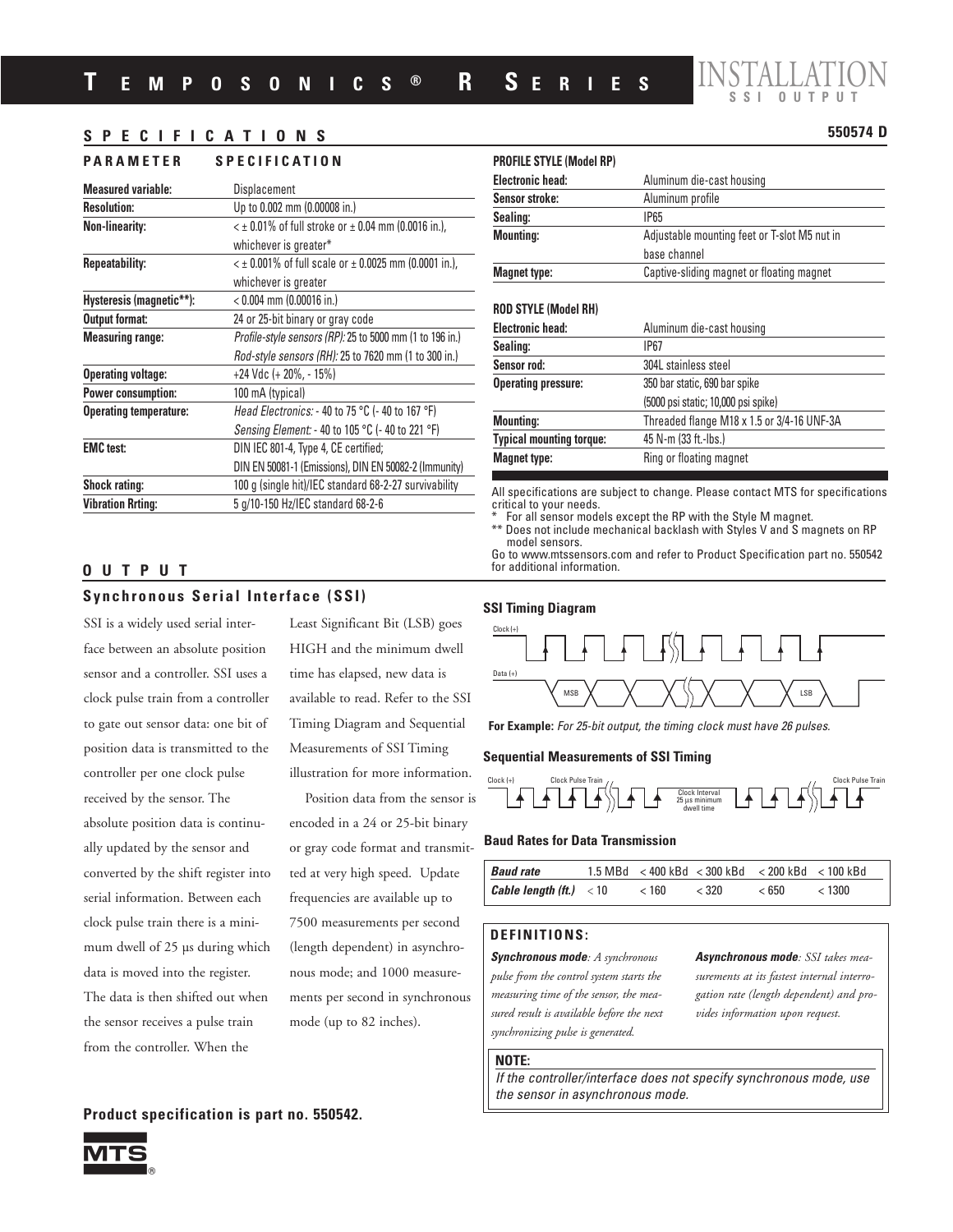

## **SPECIFICATIONS 550574 D**

## **PARAMETER SPECIFICATION**

| <b>Measured variable:</b>     | Displacement                                               |
|-------------------------------|------------------------------------------------------------|
| <b>Resolution:</b>            | Up to 0.002 mm (0.00008 in.)                               |
| <b>Non-linearity:</b>         | $<$ ± 0.01% of full stroke or $\pm$ 0.04 mm (0.0016 in.),  |
|                               | whichever is greater*                                      |
| <b>Repeatability:</b>         | $\leq$ ± 0.001% of full scale or ± 0.0025 mm (0.0001 in.), |
|                               | whichever is greater                                       |
| Hysteresis (magnetic**):      | $< 0.004$ mm (0.00016 in.)                                 |
| <b>Output format:</b>         | 24 or 25-bit binary or gray code                           |
| <b>Measuring range:</b>       | Profile-style sensors (RP): 25 to 5000 mm (1 to 196 in.)   |
|                               | Rod-style sensors (RH): 25 to 7620 mm (1 to 300 in.)       |
| <b>Operating voltage:</b>     | +24 Vdc (+ 20%, - 15%)                                     |
| <b>Power consumption:</b>     | 100 mA (typical)                                           |
| <b>Operating temperature:</b> | Head Electronics: - 40 to 75 °C (- 40 to 167 °F)           |
|                               | Sensing Element: - 40 to 105 °C (- 40 to 221 °F)           |
| <b>EMC</b> test:              | DIN IEC 801-4, Type 4, CE certified;                       |
|                               | DIN EN 50081-1 (Emissions), DIN EN 50082-2 (Immunity)      |
| <b>Shock rating:</b>          | 100 g (single hit)/IEC standard 68-2-27 survivability      |
| <b>Vibration Rrting:</b>      | 5 g/10-150 Hz/IEC standard 68-2-6                          |
|                               |                                                            |

| <b>PROFILE STYLE (Model RP)</b> |                                              |
|---------------------------------|----------------------------------------------|
| <b>Electronic head:</b>         | Aluminum die-cast housing                    |
| Sensor stroke:                  | Aluminum profile                             |
| Sealing:                        | IP65                                         |
| <b>Mounting:</b>                | Adjustable mounting feet or T-slot M5 nut in |
|                                 | base channel                                 |
| <b>Magnet type:</b>             | Captive-sliding magnet or floating magnet    |
| <b>ROD STYLE (Model RH)</b>     |                                              |
| <b>Electronic head:</b>         | Aluminum die-cast housing                    |
| Sealing:                        | IP67                                         |
| Sensor rod:                     | 304L stainless steel                         |
| <b>Operating pressure:</b>      | 350 bar static, 690 bar spike                |
|                                 | (5000 psi static; 10,000 psi spike)          |
| <b>Mounting:</b>                | Threaded flange M18 x 1.5 or 3/4-16 UNF-3A   |
| <b>Typical mounting torque:</b> | 45 N-m (33 ft.-lbs.)                         |
| <b>Magnet type:</b>             | Ring or floating magnet                      |
|                                 |                                              |

All specifications are subject to change. Please contact MTS for specifications critical to your needs.

For all sensor models except the RP with the Style M magnet. \*\* Does not include mechanical backlash with Styles V and S magnets on RP

model sensors. Go to www.mtssensors.com and refer to Product Specification part no. 550542 for additional information.

# **Synchronous Serial Interface (SSI)**

**OUTPUT**

SSI is a widely used serial interface between an absolute position sensor and a controller. SSI uses a clock pulse train from a controller to gate out sensor data: one bit of position data is transmitted to the controller per one clock pulse received by the sensor. The absolute position data is continually updated by the sensor and converted by the shift register into serial information. Between each clock pulse train there is a minimum dwell of 25 µs during which data is moved into the register. The data is then shifted out when the sensor receives a pulse train from the controller. When the

Least Significant Bit (LSB) goes HIGH and the minimum dwell time has elapsed, new data is available to read. Refer to the SSI Timing Diagram and Sequential Measurements of SSI Timing illustration for more information.

Position data from the sensor is encoded in a 24 or 25-bit binary or gray code format and transmitted at very high speed. Update frequencies are available up to 7500 measurements per second (length dependent) in asynchronous mode; and 1000 measurements per second in synchronous mode (up to 82 inches).

## **Product specification is part no. 550542.**





**For Example:** For 25-bit output, the timing clock must have 26 pulses.

#### **Sequential Measurements of SSI Timing**



#### **Baud Rates for Data Transmission**

| <b>Baud rate</b>                               |       |       | $1.5 \text{ MBd}$ < 400 kBd < 300 kBd < 200 kBd < 100 kBd |        |
|------------------------------------------------|-------|-------|-----------------------------------------------------------|--------|
| <b>Cable length (ft.)</b> $\langle 10 \rangle$ | < 160 | < 320 | < 650                                                     | < 1300 |

## **DEFINITIONS:**

**Synchronous mode***: A synchronous pulse from the control system starts the measuring time of the sensor, the measured result is available before the next synchronizing pulse is generated.*

**Asynchronous mode***: SSI takes measurements at its fastest internal interrogation rate (length dependent) and provides information upon request.*

#### **NOTE:**

If the controller/interface does not specify synchronous mode, use the sensor in asynchronous mode.

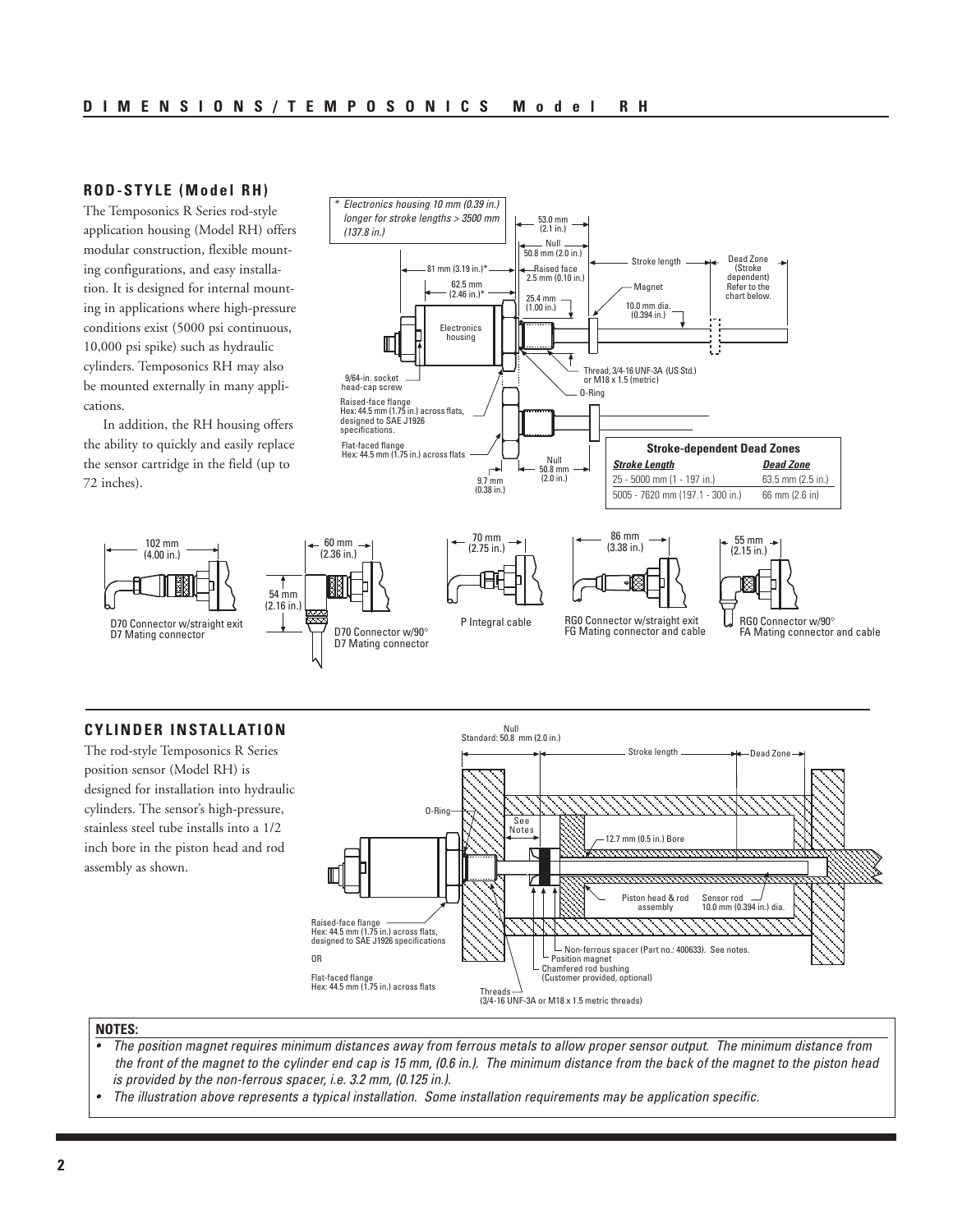## **ROD-STYLE (Model RH)**

The Temposonics R Series rod-style application housing (Model RH) offers modular construction, flexible mounting configurations, and easy installation. It is designed for internal mounting in applications where high-pressure conditions exist (5000 psi continuous, 10,000 psi spike) such as hydraulic cylinders. Temposonics RH may also be mounted externally in many applications.

In addition, the RH housing offers the ability to quickly and easily replace the sensor cartridge in the field (up to 72 inches).

> 102 mm (4.00 in.)



## **CYLINDER INSTALLATION**

The rod-style Temposonics R Series position sensor (Model RH) is designed for installation into hydraulic cylinders. The sensor's high-pressure, stainless steel tube installs into a 1/2 inch bore in the piston head and rod assembly as shown.



#### **NOTES:**

- The position magnet requires minimum distances away from ferrous metals to allow proper sensor output. The minimum distance from the front of the magnet to the cylinder end cap is 15 mm, (0.6 in.). The minimum distance from the back of the magnet to the piston head is provided by the non-ferrous spacer, i.e. 3.2 mm, (0.125 in.).
- The illustration above represents a typical installation. Some installation requirements may be application specific.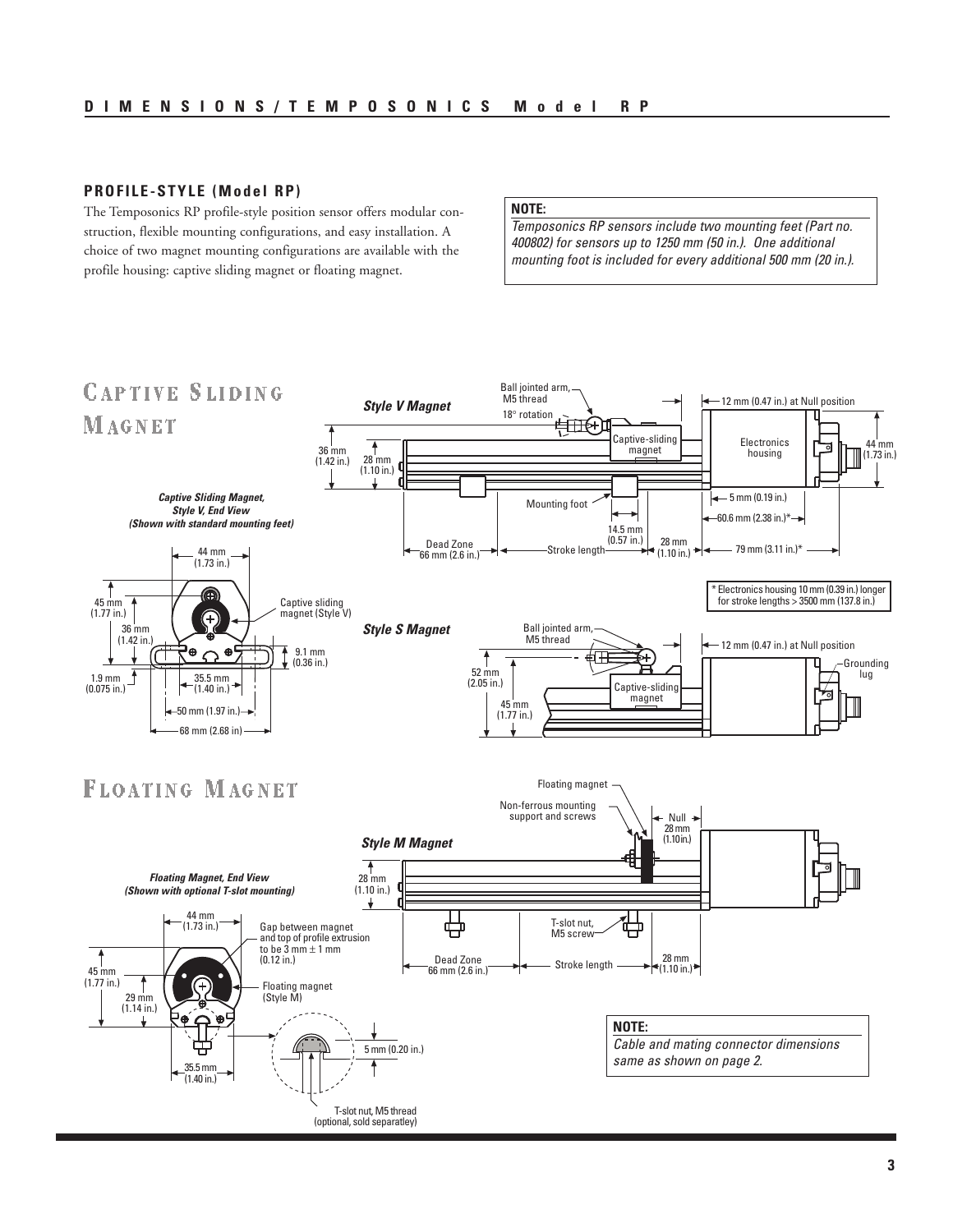## **PROFILE-STYLE (Model RP)**

The Temposonics RP profile-style position sensor offers modular construction, flexible mounting configurations, and easy installation. A choice of two magnet mounting configurations are available with the profile housing: captive sliding magnet or floating magnet.

#### **NOTE:**

Temposonics RP sensors include two mounting feet (Part no. 400802) for sensors up to 1250 mm (50 in.). One additional mounting foot is included for every additional 500 mm (20 in.).

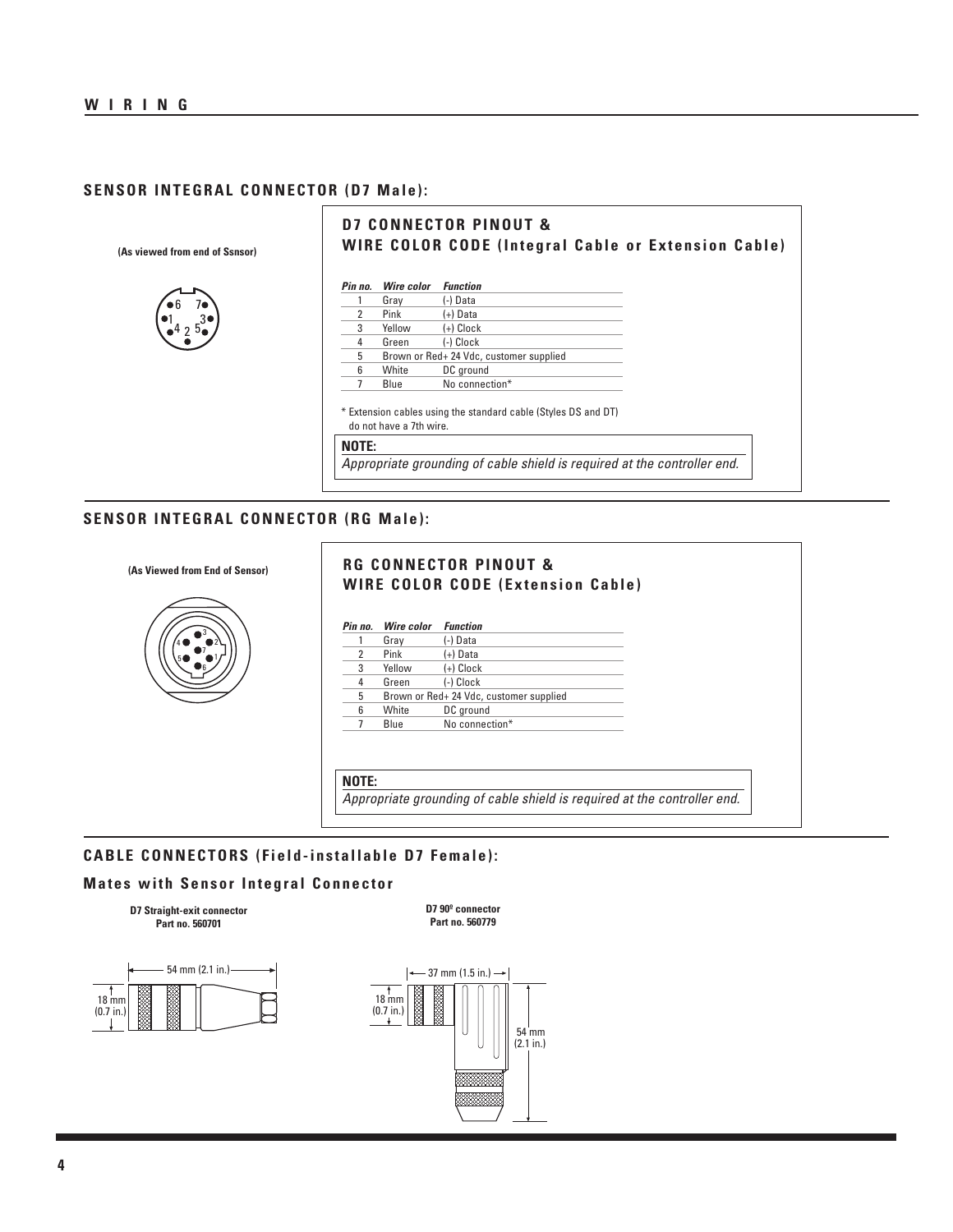## **SENSOR INTEGRAL CONNECTOR (D7 Male):**

**(As viewed from end of Ssnsor)**



## **D7 CONNECTOR PINOUT & WIRE COLOR CODE (Integral Cable or Extension Cable)**

| (-) Data<br>Grav<br>2<br>Pink<br>$(+)$ Data<br>3<br>$(+)$ Clock<br>Yellow<br>(-) Clock<br>4<br>Green<br>5<br>Brown or Red+ 24 Vdc, customer supplied<br>6<br>White<br>DC ground<br>No connection*<br>7<br>Blue<br>* Extension cables using the standard cable (Styles DS and DT) |                                                                                                     |
|----------------------------------------------------------------------------------------------------------------------------------------------------------------------------------------------------------------------------------------------------------------------------------|-----------------------------------------------------------------------------------------------------|
|                                                                                                                                                                                                                                                                                  |                                                                                                     |
|                                                                                                                                                                                                                                                                                  |                                                                                                     |
|                                                                                                                                                                                                                                                                                  |                                                                                                     |
|                                                                                                                                                                                                                                                                                  |                                                                                                     |
|                                                                                                                                                                                                                                                                                  |                                                                                                     |
|                                                                                                                                                                                                                                                                                  |                                                                                                     |
|                                                                                                                                                                                                                                                                                  |                                                                                                     |
|                                                                                                                                                                                                                                                                                  |                                                                                                     |
|                                                                                                                                                                                                                                                                                  |                                                                                                     |
|                                                                                                                                                                                                                                                                                  | do not have a 7th wire.<br>Appropriate grounding of cable shield is required at the controller end. |

## **SENSOR INTEGRAL CONNECTOR (RG Male):**



## **RG CONNECTOR PINOUT & WIRE COLOR CODE (Extension Cable)**

| Pin no. | <b>Wire color</b> | <b>Function</b>                         |
|---------|-------------------|-----------------------------------------|
|         | Gray              | (-) Data                                |
| 2       | Pink              | (+) Data                                |
| 3       | Yellow            | $(+)$ Clock                             |
| 4       | Green             | (-) Clock                               |
| 5       |                   | Brown or Red+ 24 Vdc, customer supplied |
| 6       | White             | DC ground                               |
|         | Blue              | No connection*                          |
|         |                   |                                         |
|         |                   |                                         |
|         |                   |                                         |

**NOTE:**

I

Appropriate grounding of cable shield is required at the controller end.

## **CABLE CONNECTORS (Field-installable D7 Female):**

### **Mates with Sensor Integral Connector**

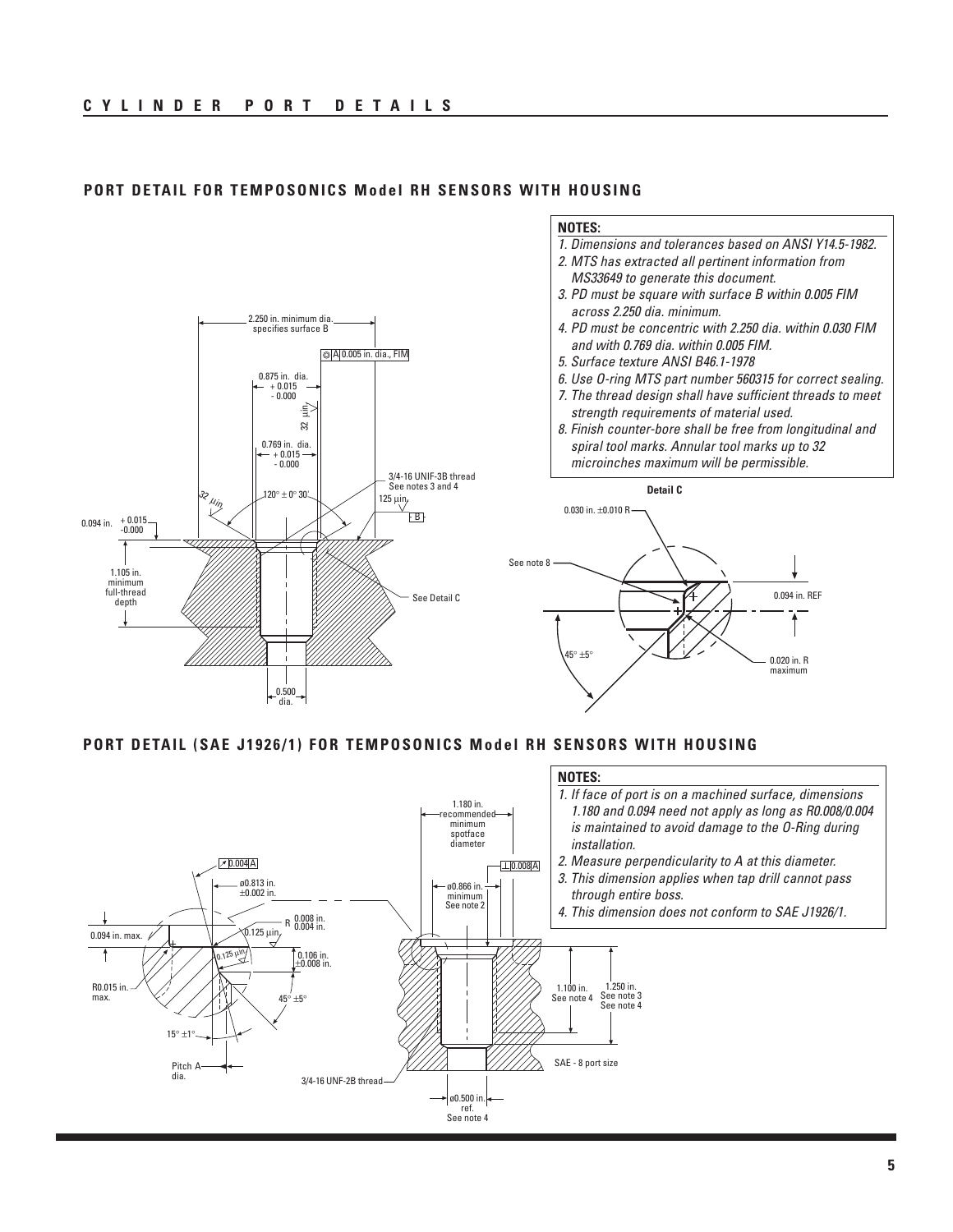

## **PORT DETAIL FOR TEMPOSONICS Model RH SENSORS WITH HOUSING**

**PORT DETAIL (SAE J1926/1) FOR TEMPOSONICS Model RH SENSORS WITH HOUSING**

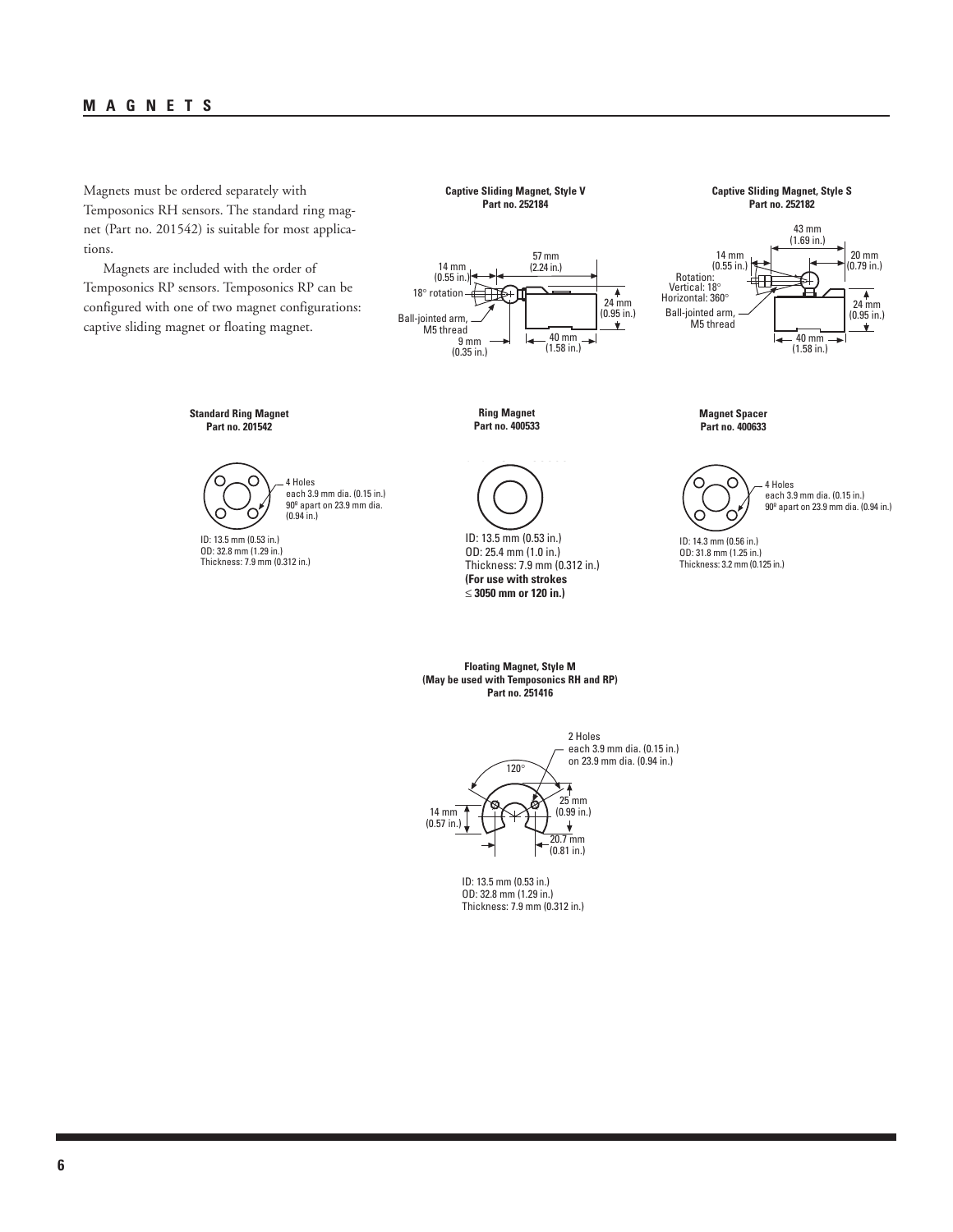## **MAGNETS**

Magnets must be ordered separately with Temposonics RH sensors. The standard ring magnet (Part no. 201542) is suitable for most applications.

Magnets are included with the order of Temposonics RP sensors. Temposonics RP can be configured with one of two magnet configurations: captive sliding magnet or floating magnet.

**Captive Sliding Magnet, Style V Part no. 252184**

57 mm 14 mm (2.24 in.)

**Ring Magnet Part no. 400533**

 $57 \text{ mm}$ 

24 mm (0.95 in.)

 $\frac{4}{24 \text{ mm}}$ 

 $-$ 40 mm (1.58 in.)

 $\overline{\phantom{0}}$ 

**Captive Sliding Magnet, Style S Part no. 252182**



**Standard Ring Magnet Part no. 201542**



ID: 13.5 mm (0.53 in.) OD: 32.8 mm (1.29 in.) Thickness: 7.9 mm (0.312 in.)

18° rotation

 $\frac{9}{9}$  mm (0.35 in.)

 $(0.55$  in.)

 $14$  mm

 $\blacksquare$ ID: 13.5 mm (0.53 in.) Thickness: 7.9 mm (0.312 in.) OD: 25.4 mm (1.0 in.) Thickness: 7.9 mm (0.312 in.) **(For use with strokes** ≤ **3050 mm or 120 in.)**

**Magnet Spacer Part no. 400633**



ID: 14.3 mm (0.56 in.) OD: 31.8 mm (1.25 in.) Thickness: 3.2 mm (0.125 in.)

120° 2 Holes each 3.9 mm dia. (0.15 in.) on 23.9 mm dia. (0.94 in.)  $\sqrt{2}$ 

**Floating Magnet, Style M (May be used with Temposonics RH and RP) Part no. 251416**



ID: 13.5 mm (0.53 in.) OD: 32.8 mm (1.29 in.) Thickness: 7.9 mm (0.312 in.)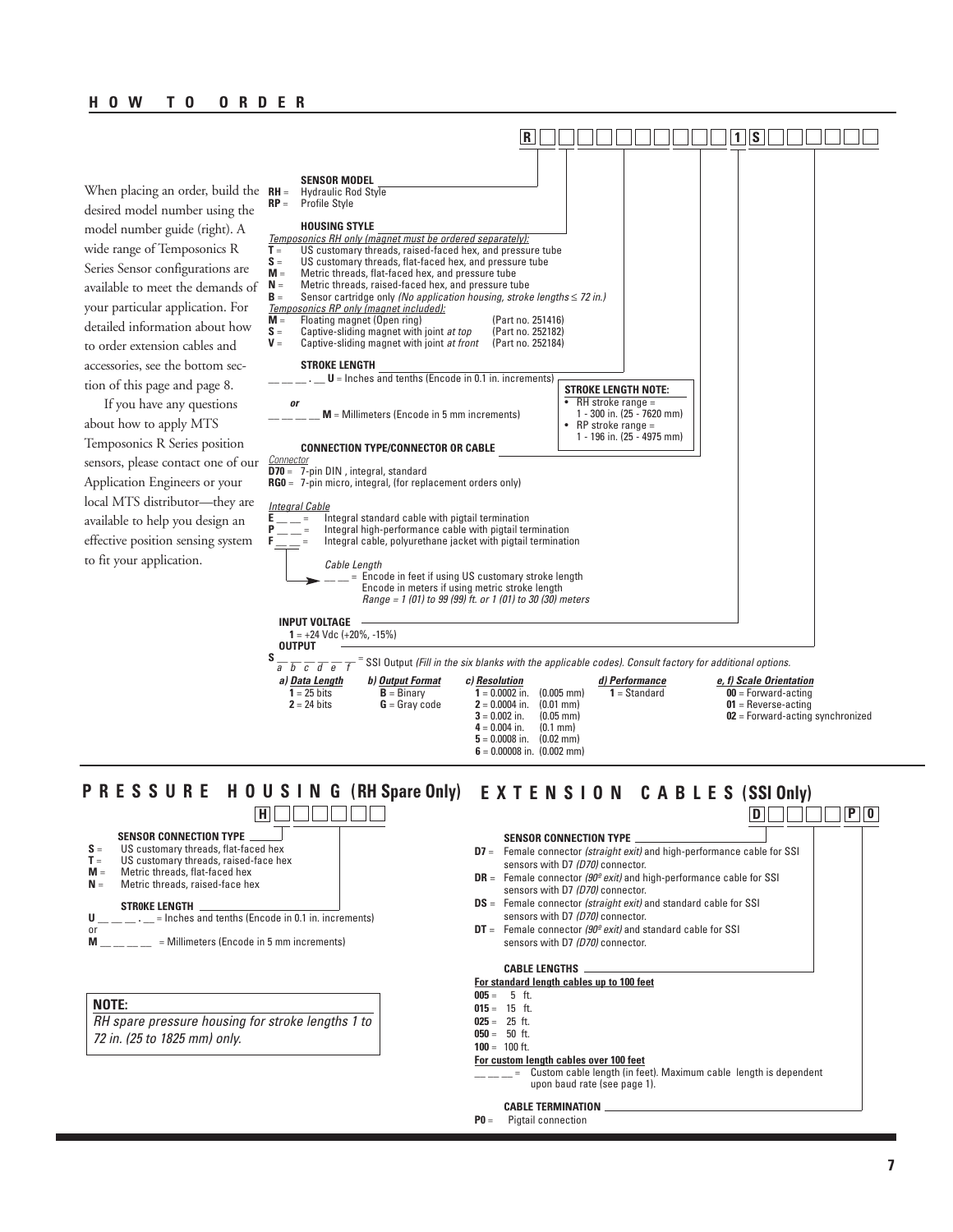When placing an order, build the  $RH =$ desired model number using the model number guide (right). A wide range of Temposonics R Series Sensor configurations are available to meet the demands of your particular application. For detailed information about how to order extension cables and accessories, see the bottom section of this page and page 8.

If you have any questions about how to apply MTS Temposonics R Series position sensors, please contact one of our Application Engineers or your local MTS distributor—they are available to help you design an effective position sensing system to fit your application.



#### **P R E S S U R E H O U S I N G (RH Spare Only) E X T E N S I O N C A B L E S (SSI Only) SENSOR CONNECTION TYPE D7** = Female connector (straight exit) and high-performance cable for SSI sensors with D7 (D70) connector. **DR** = Female connector (90<sup>°</sup> exit) and high-performance cable for SSI sensors with D7 (D70) connector. **DS** = Female connector (straight exit) and standard cable for SSI sensors with D7 (D70) connector. **DT** = Female connector (90<sup>°</sup> exit) and standard cable for SSI sensors with D7 (D70) connector. **CABLE LENGTHS For standard length cables up to 100 feet 005** = 5 ft. **015** = 15 ft. **025** = 25 ft. **050** = 50 ft. **100** = 100 ft. **For custom length cables over 100 feet Custom cable length (in feet). Maximum cable length is dependent** upon baud rate (see page 1). **CABLE TERMINATION D P 0 SENSOR CONNECTION TYPE**  $S =$  US customary threads, flat-faced hex<br> $T =$  US customary threads, raised-face he US customary threads, raised-face hex **M** = Metric threads, flat-faced hex<br>**N** = Metric threads, raised-face he **Metric threads, raised-face hex STR0KE LENGTH U** \_\_ \_\_ . \_\_ = Inches and tenths (Encode in 0.1 in. increments) or<br>M  $=$  Millimeters (Encode in 5 mm increments) **H** OOOOO **NOTE:** RH spare pressure housing for stroke lengths 1 to 72 in. (25 to 1825 mm) only.

**P0** = Pigtail connection

**6** = 0.00008 in. (0.002 mm)